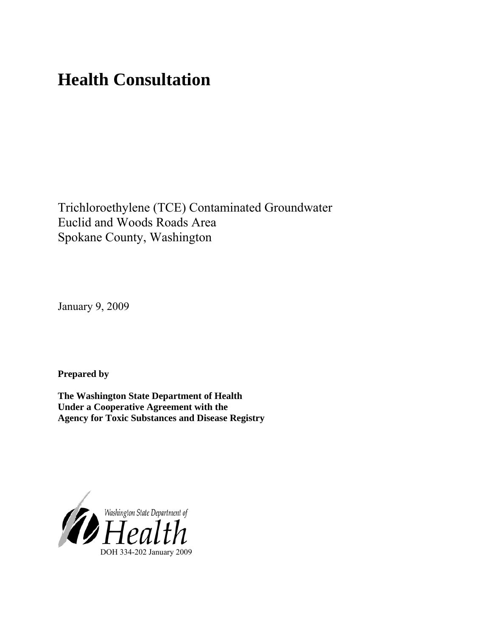# **Health Consultation**

Trichloroethylene (TCE) Contaminated Groundwater Euclid and Woods Roads Area Spokane County, Washington

January 9, 2009

**Prepared by** 

**The Washington State Department of Health Under a Cooperative Agreement with the Agency for Toxic Substances and Disease Registry**

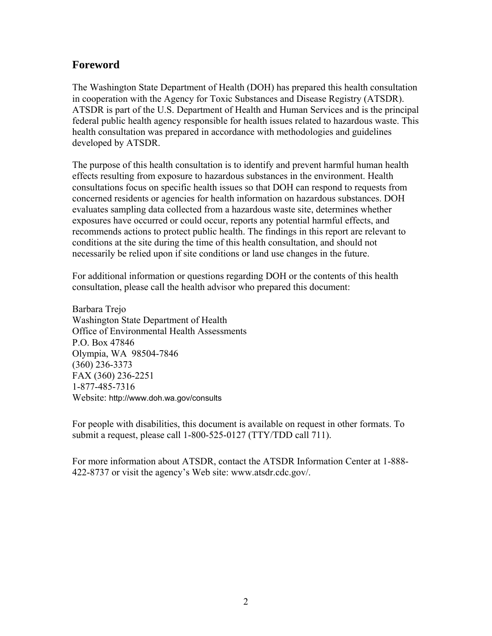# **Foreword**

The Washington State Department of Health (DOH) has prepared this health consultation in cooperation with the Agency for Toxic Substances and Disease Registry (ATSDR). ATSDR is part of the U.S. Department of Health and Human Services and is the principal federal public health agency responsible for health issues related to hazardous waste. This health consultation was prepared in accordance with methodologies and guidelines developed by ATSDR.

The purpose of this health consultation is to identify and prevent harmful human health effects resulting from exposure to hazardous substances in the environment. Health consultations focus on specific health issues so that DOH can respond to requests from concerned residents or agencies for health information on hazardous substances. DOH evaluates sampling data collected from a hazardous waste site, determines whether exposures have occurred or could occur, reports any potential harmful effects, and recommends actions to protect public health. The findings in this report are relevant to conditions at the site during the time of this health consultation, and should not necessarily be relied upon if site conditions or land use changes in the future.

For additional information or questions regarding DOH or the contents of this health consultation, please call the health advisor who prepared this document:

Barbara Trejo Washington State Department of Health Office of Environmental Health Assessments P.O. Box 47846 Olympia, WA 98504-7846 (360) 236-3373 FAX (360) 236-2251 1-877-485-7316 Website: <http://www.doh.wa.gov/consults>

For people with disabilities, this document is available on request in other formats. To submit a request, please call 1-800-525-0127 (TTY/TDD call 711).

For more information about ATSDR, contact the ATSDR Information Center at 1-888- 422-8737 or visit the agency's Web site: www.atsdr.cdc.gov/.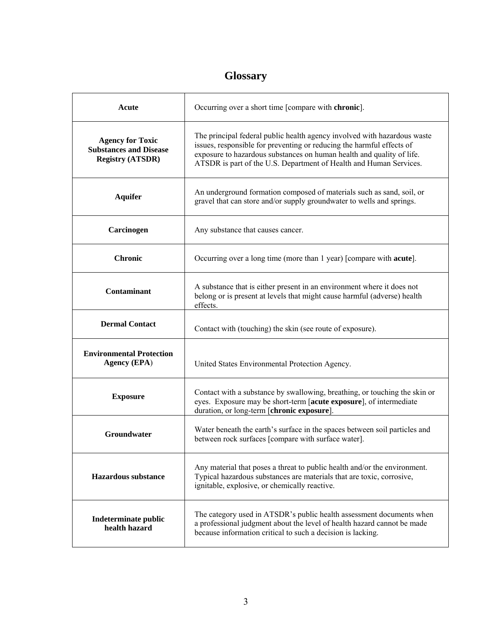# **Glossary**

| Acute                                                                               | Occurring over a short time [compare with chronic].                                                                                                                                                                                                                                              |
|-------------------------------------------------------------------------------------|--------------------------------------------------------------------------------------------------------------------------------------------------------------------------------------------------------------------------------------------------------------------------------------------------|
| <b>Agency for Toxic</b><br><b>Substances and Disease</b><br><b>Registry (ATSDR)</b> | The principal federal public health agency involved with hazardous waste<br>issues, responsible for preventing or reducing the harmful effects of<br>exposure to hazardous substances on human health and quality of life.<br>ATSDR is part of the U.S. Department of Health and Human Services. |
| <b>Aquifer</b>                                                                      | An underground formation composed of materials such as sand, soil, or<br>gravel that can store and/or supply groundwater to wells and springs.                                                                                                                                                   |
| Carcinogen                                                                          | Any substance that causes cancer.                                                                                                                                                                                                                                                                |
| <b>Chronic</b>                                                                      | Occurring over a long time (more than 1 year) [compare with <b>acute</b> ].                                                                                                                                                                                                                      |
| Contaminant                                                                         | A substance that is either present in an environment where it does not<br>belong or is present at levels that might cause harmful (adverse) health<br>effects.                                                                                                                                   |
| <b>Dermal Contact</b>                                                               | Contact with (touching) the skin (see route of exposure).                                                                                                                                                                                                                                        |
| <b>Environmental Protection</b><br><b>Agency (EPA)</b>                              | United States Environmental Protection Agency.                                                                                                                                                                                                                                                   |
| <b>Exposure</b>                                                                     | Contact with a substance by swallowing, breathing, or touching the skin or<br>eyes. Exposure may be short-term [acute exposure], of intermediate<br>duration, or long-term [chronic exposure].                                                                                                   |
| Groundwater                                                                         | Water beneath the earth's surface in the spaces between soil particles and<br>between rock surfaces [compare with surface water].                                                                                                                                                                |
| <b>Hazardous substance</b>                                                          | Any material that poses a threat to public health and/or the environment.<br>Typical hazardous substances are materials that are toxic, corrosive,<br>ignitable, explosive, or chemically reactive.                                                                                              |
| Indeterminate public<br>health hazard                                               | The category used in ATSDR's public health assessment documents when<br>a professional judgment about the level of health hazard cannot be made<br>because information critical to such a decision is lacking.                                                                                   |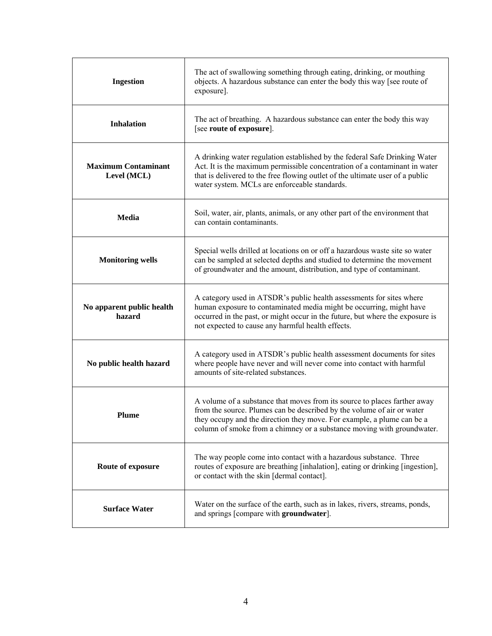| <b>Ingestion</b>                          | The act of swallowing something through eating, drinking, or mouthing<br>objects. A hazardous substance can enter the body this way [see route of<br>exposure].                                                                                                                                         |
|-------------------------------------------|---------------------------------------------------------------------------------------------------------------------------------------------------------------------------------------------------------------------------------------------------------------------------------------------------------|
| <b>Inhalation</b>                         | The act of breathing. A hazardous substance can enter the body this way<br>[see route of exposure].                                                                                                                                                                                                     |
| <b>Maximum Contaminant</b><br>Level (MCL) | A drinking water regulation established by the federal Safe Drinking Water<br>Act. It is the maximum permissible concentration of a contaminant in water<br>that is delivered to the free flowing outlet of the ultimate user of a public<br>water system. MCLs are enforceable standards.              |
| Media                                     | Soil, water, air, plants, animals, or any other part of the environment that<br>can contain contaminants.                                                                                                                                                                                               |
| <b>Monitoring wells</b>                   | Special wells drilled at locations on or off a hazardous waste site so water<br>can be sampled at selected depths and studied to determine the movement<br>of groundwater and the amount, distribution, and type of contaminant.                                                                        |
| No apparent public health<br>hazard       | A category used in ATSDR's public health assessments for sites where<br>human exposure to contaminated media might be occurring, might have<br>occurred in the past, or might occur in the future, but where the exposure is<br>not expected to cause any harmful health effects.                       |
| No public health hazard                   | A category used in ATSDR's public health assessment documents for sites<br>where people have never and will never come into contact with harmful<br>amounts of site-related substances.                                                                                                                 |
| Plume                                     | A volume of a substance that moves from its source to places farther away<br>from the source. Plumes can be described by the volume of air or water<br>they occupy and the direction they move. For example, a plume can be a<br>column of smoke from a chimney or a substance moving with groundwater. |
| Route of exposure                         | The way people come into contact with a hazardous substance. Three<br>routes of exposure are breathing [inhalation], eating or drinking [ingestion],<br>or contact with the skin [dermal contact].                                                                                                      |
| <b>Surface Water</b>                      | Water on the surface of the earth, such as in lakes, rivers, streams, ponds,<br>and springs [compare with groundwater].                                                                                                                                                                                 |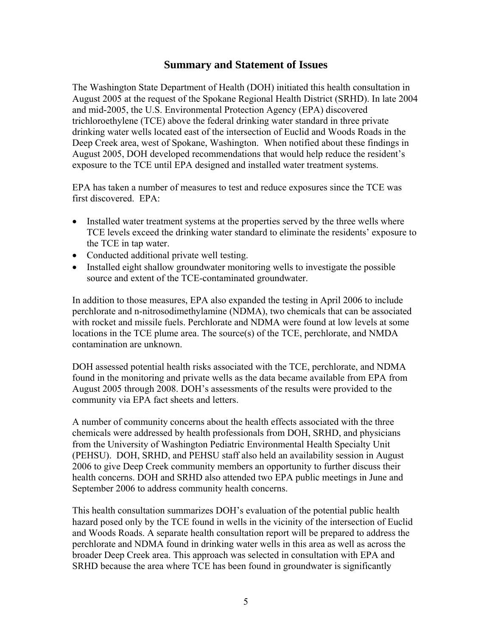## **Summary and Statement of Issues**

The Washington State Department of Health (DOH) initiated this health consultation in August 2005 at the request of the Spokane Regional Health District (SRHD). In late 2004 and mid-2005, the U.S. Environmental Protection Agency (EPA) discovered trichloroethylene (TCE) above the federal drinking water standard in three private drinking water wells located east of the intersection of Euclid and Woods Roads in the Deep Creek area, west of Spokane, Washington. When notified about these findings in August 2005, DOH developed recommendations that would help reduce the resident's exposure to the TCE until EPA designed and installed water treatment systems.

EPA has taken a number of measures to test and reduce exposures since the TCE was first discovered. EPA:

- Installed water treatment systems at the properties served by the three wells where TCE levels exceed the drinking water standard to eliminate the residents' exposure to the TCE in tap water.
- Conducted additional private well testing.
- Installed eight shallow groundwater monitoring wells to investigate the possible source and extent of the TCE-contaminated groundwater.

In addition to those measures, EPA also expanded the testing in April 2006 to include perchlorate and n-nitrosodimethylamine (NDMA), two chemicals that can be associated with rocket and missile fuels. Perchlorate and NDMA were found at low levels at some locations in the TCE plume area. The source(s) of the TCE, perchlorate, and NMDA contamination are unknown.

DOH assessed potential health risks associated with the TCE, perchlorate, and NDMA found in the monitoring and private wells as the data became available from EPA from August 2005 through 2008. DOH's assessments of the results were provided to the community via EPA fact sheets and letters.

A number of community concerns about the health effects associated with the three chemicals were addressed by health professionals from DOH, SRHD, and physicians from the University of Washington Pediatric Environmental Health Specialty Unit (PEHSU). DOH, SRHD, and PEHSU staff also held an availability session in August 2006 to give Deep Creek community members an opportunity to further discuss their health concerns. DOH and SRHD also attended two EPA public meetings in June and September 2006 to address community health concerns.

This health consultation summarizes DOH's evaluation of the potential public health hazard posed only by the TCE found in wells in the vicinity of the intersection of Euclid and Woods Roads. A separate health consultation report will be prepared to address the perchlorate and NDMA found in drinking water wells in this area as well as across the broader Deep Creek area. This approach was selected in consultation with EPA and SRHD because the area where TCE has been found in groundwater is significantly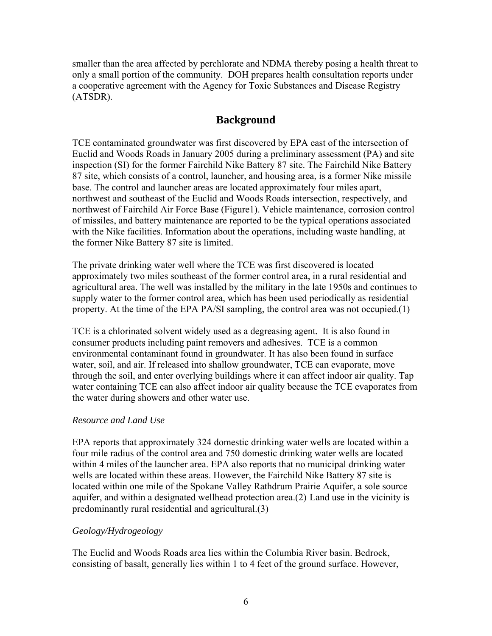smaller than the area affected by perchlorate and NDMA thereby posing a health threat to only a small portion of the community. DOH prepares health consultation reports under a cooperative agreement with the Agency for Toxic Substances and Disease Registry (ATSDR).

# **Background**

TCE contaminated groundwater was first discovered by EPA east of the intersection of Euclid and Woods Roads in January 2005 during a preliminary assessment (PA) and site inspection (SI) for the former Fairchild Nike Battery 87 site. The Fairchild Nike Battery 87 site, which consists of a control, launcher, and housing area, is a former Nike missile base. The control and launcher areas are located approximately four miles apart, northwest and southeast of the Euclid and Woods Roads intersection, respectively, and northwest of Fairchild Air Force Base (Figure1). Vehicle maintenance, corrosion control of missiles, and battery maintenance are reported to be the typical operations associated with the Nike facilities. Information about the operations, including waste handling, at the former Nike Battery 87 site is limited.

The private drinking water well where the TCE was first discovered is located approximately two miles southeast of the former control area, in a rural residential and agricultural area. The well was installed by the military in the late 1950s and continues to supply water to the former control area, which has been used periodically as residential property. At the time of the EPA PA/SI sampling, the control area was not occupied.(1)

TCE is a chlorinated solvent widely used as a degreasing agent. It is also found in consumer products including paint removers and adhesives. TCE is a common environmental contaminant found in groundwater. It has also been found in surface water, soil, and air. If released into shallow groundwater, TCE can evaporate, move through the soil, and enter overlying buildings where it can affect indoor air quality. Tap water containing TCE can also affect indoor air quality because the TCE evaporates from the water during showers and other water use.

#### *Resource and Land Use*

EPA reports that approximately 324 domestic drinking water wells are located within a four mile radius of the control area and 750 domestic drinking water wells are located within 4 miles of the launcher area. EPA also reports that no municipal drinking water wells are located within these areas. However, the Fairchild Nike Battery 87 site is located within one mile of the Spokane Valley Rathdrum Prairie Aquifer, a sole source aquifer, and within a designated wellhead protection area.(2) Land use in the vicinity is predominantly rural residential and agricultural.(3)

#### *Geology/Hydrogeology*

The Euclid and Woods Roads area lies within the Columbia River basin. Bedrock, consisting of basalt, generally lies within 1 to 4 feet of the ground surface. However,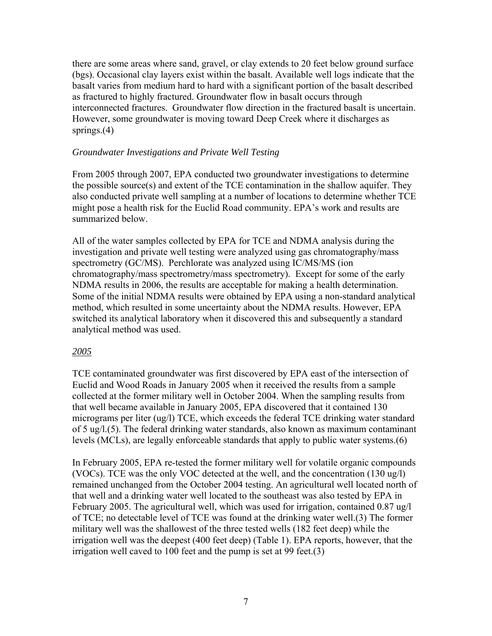there are some areas where sand, gravel, or clay extends to 20 feet below ground surface (bgs). Occasional clay layers exist within the basalt. Available well logs indicate that the basalt varies from medium hard to hard with a significant portion of the basalt described as fractured to highly fractured. Groundwater flow in basalt occurs through interconnected fractures. Groundwater flow direction in the fractured basalt is uncertain. However, some groundwater is moving toward Deep Creek where it discharges as springs.(4)

#### *Groundwater Investigations and Private Well Testing*

From 2005 through 2007, EPA conducted two groundwater investigations to determine the possible source(s) and extent of the TCE contamination in the shallow aquifer. They also conducted private well sampling at a number of locations to determine whether TCE might pose a health risk for the Euclid Road community. EPA's work and results are summarized below.

All of the water samples collected by EPA for TCE and NDMA analysis during the investigation and private well testing were analyzed using gas chromatography/mass spectrometry (GC/MS). Perchlorate was analyzed using IC/MS/MS (ion chromatography/mass spectrometry/mass spectrometry). Except for some of the early NDMA results in 2006, the results are acceptable for making a health determination. Some of the initial NDMA results were obtained by EPA using a non-standard analytical method, which resulted in some uncertainty about the NDMA results. However, EPA switched its analytical laboratory when it discovered this and subsequently a standard analytical method was used.

#### *2005*

TCE contaminated groundwater was first discovered by EPA east of the intersection of Euclid and Wood Roads in January 2005 when it received the results from a sample collected at the former military well in October 2004. When the sampling results from that well became available in January 2005, EPA discovered that it contained 130 micrograms per liter (ug/l) TCE, which exceeds the federal TCE drinking water standard of 5 ug/l.(5). The federal drinking water standards, also known as maximum contaminant levels (MCLs), are legally enforceable standards that apply to public water systems.(6)

In February 2005, EPA re-tested the former military well for volatile organic compounds (VOCs). TCE was the only VOC detected at the well, and the concentration (130 ug/l) remained unchanged from the October 2004 testing. An agricultural well located north of that well and a drinking water well located to the southeast was also tested by EPA in February 2005. The agricultural well, which was used for irrigation, contained 0.87 ug/l of TCE; no detectable level of TCE was found at the drinking water well.(3) The former military well was the shallowest of the three tested wells (182 feet deep) while the irrigation well was the deepest (400 feet deep) (Table 1). EPA reports, however, that the irrigation well caved to 100 feet and the pump is set at 99 feet.(3)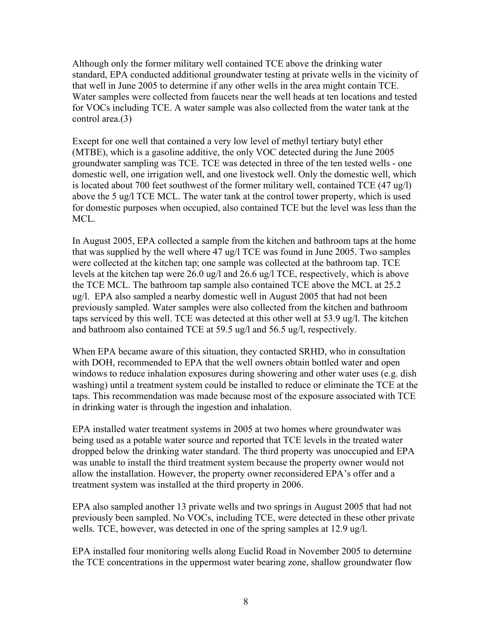Although only the former military well contained TCE above the drinking water standard, EPA conducted additional groundwater testing at private wells in the vicinity of that well in June 2005 to determine if any other wells in the area might contain TCE. Water samples were collected from faucets near the well heads at ten locations and tested for VOCs including TCE. A water sample was also collected from the water tank at the control area.(3)

Except for one well that contained a very low level of methyl tertiary butyl ether (MTBE), which is a gasoline additive, the only VOC detected during the June 2005 groundwater sampling was TCE. TCE was detected in three of the ten tested wells - one domestic well, one irrigation well, and one livestock well. Only the domestic well, which is located about 700 feet southwest of the former military well, contained TCE (47 ug/l) above the 5 ug/l TCE MCL. The water tank at the control tower property, which is used for domestic purposes when occupied, also contained TCE but the level was less than the MCL.

In August 2005, EPA collected a sample from the kitchen and bathroom taps at the home that was supplied by the well where 47 ug/l TCE was found in June 2005. Two samples were collected at the kitchen tap; one sample was collected at the bathroom tap. TCE levels at the kitchen tap were 26.0 ug/l and 26.6 ug/l TCE, respectively, which is above the TCE MCL. The bathroom tap sample also contained TCE above the MCL at 25.2 ug/l. EPA also sampled a nearby domestic well in August 2005 that had not been previously sampled. Water samples were also collected from the kitchen and bathroom taps serviced by this well. TCE was detected at this other well at 53.9 ug/l. The kitchen and bathroom also contained TCE at 59.5 ug/l and 56.5 ug/l, respectively.

When EPA became aware of this situation, they contacted SRHD, who in consultation with DOH, recommended to EPA that the well owners obtain bottled water and open windows to reduce inhalation exposures during showering and other water uses (e.g. dish washing) until a treatment system could be installed to reduce or eliminate the TCE at the taps. This recommendation was made because most of the exposure associated with TCE in drinking water is through the ingestion and inhalation.

EPA installed water treatment systems in 2005 at two homes where groundwater was being used as a potable water source and reported that TCE levels in the treated water dropped below the drinking water standard. The third property was unoccupied and EPA was unable to install the third treatment system because the property owner would not allow the installation. However, the property owner reconsidered EPA's offer and a treatment system was installed at the third property in 2006.

EPA also sampled another 13 private wells and two springs in August 2005 that had not previously been sampled. No VOCs, including TCE, were detected in these other private wells. TCE, however, was detected in one of the spring samples at 12.9 ug/l.

EPA installed four monitoring wells along Euclid Road in November 2005 to determine the TCE concentrations in the uppermost water bearing zone, shallow groundwater flow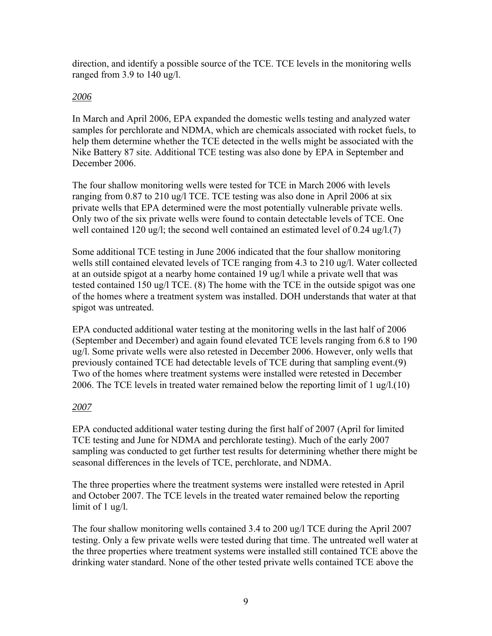direction, and identify a possible source of the TCE. TCE levels in the monitoring wells ranged from 3.9 to 140 ug/l.

#### *2006*

In March and April 2006, EPA expanded the domestic wells testing and analyzed water samples for perchlorate and NDMA, which are chemicals associated with rocket fuels, to help them determine whether the TCE detected in the wells might be associated with the Nike Battery 87 site. Additional TCE testing was also done by EPA in September and December 2006.

The four shallow monitoring wells were tested for TCE in March 2006 with levels ranging from 0.87 to 210 ug/l TCE. TCE testing was also done in April 2006 at six private wells that EPA determined were the most potentially vulnerable private wells. Only two of the six private wells were found to contain detectable levels of TCE. One well contained 120 ug/l; the second well contained an estimated level of 0.24 ug/l.(7)

Some additional TCE testing in June 2006 indicated that the four shallow monitoring wells still contained elevated levels of TCE ranging from 4.3 to 210 ug/l. Water collected at an outside spigot at a nearby home contained 19 ug/l while a private well that was tested contained 150 ug/l TCE. (8) The home with the TCE in the outside spigot was one of the homes where a treatment system was installed. DOH understands that water at that spigot was untreated.

EPA conducted additional water testing at the monitoring wells in the last half of 2006 (September and December) and again found elevated TCE levels ranging from 6.8 to 190 ug/l. Some private wells were also retested in December 2006. However, only wells that previously contained TCE had detectable levels of TCE during that sampling event.(9) Two of the homes where treatment systems were installed were retested in December 2006. The TCE levels in treated water remained below the reporting limit of 1 ug/l.(10)

#### *2007*

EPA conducted additional water testing during the first half of 2007 (April for limited TCE testing and June for NDMA and perchlorate testing). Much of the early 2007 sampling was conducted to get further test results for determining whether there might be seasonal differences in the levels of TCE, perchlorate, and NDMA.

The three properties where the treatment systems were installed were retested in April and October 2007. The TCE levels in the treated water remained below the reporting limit of 1 ug/l.

The four shallow monitoring wells contained 3.4 to 200 ug/l TCE during the April 2007 testing. Only a few private wells were tested during that time. The untreated well water at the three properties where treatment systems were installed still contained TCE above the drinking water standard. None of the other tested private wells contained TCE above the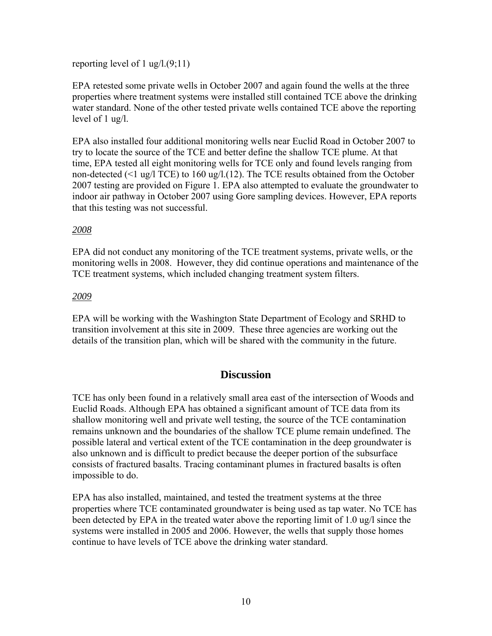#### reporting level of 1 ug/l.(9;11)

EPA retested some private wells in October 2007 and again found the wells at the three properties where treatment systems were installed still contained TCE above the drinking water standard. None of the other tested private wells contained TCE above the reporting level of 1 ug/l.

EPA also installed four additional monitoring wells near Euclid Road in October 2007 to try to locate the source of the TCE and better define the shallow TCE plume. At that time, EPA tested all eight monitoring wells for TCE only and found levels ranging from non-detected (<1 ug/l TCE) to 160 ug/l.(12). The TCE results obtained from the October 2007 testing are provided on Figure 1. EPA also attempted to evaluate the groundwater to indoor air pathway in October 2007 using Gore sampling devices. However, EPA reports that this testing was not successful.

#### *2008*

EPA did not conduct any monitoring of the TCE treatment systems, private wells, or the monitoring wells in 2008. However, they did continue operations and maintenance of the TCE treatment systems, which included changing treatment system filters.

#### *2009*

EPA will be working with the Washington State Department of Ecology and SRHD to transition involvement at this site in 2009. These three agencies are working out the details of the transition plan, which will be shared with the community in the future.

#### **Discussion**

TCE has only been found in a relatively small area east of the intersection of Woods and Euclid Roads. Although EPA has obtained a significant amount of TCE data from its shallow monitoring well and private well testing, the source of the TCE contamination remains unknown and the boundaries of the shallow TCE plume remain undefined. The possible lateral and vertical extent of the TCE contamination in the deep groundwater is also unknown and is difficult to predict because the deeper portion of the subsurface consists of fractured basalts. Tracing contaminant plumes in fractured basalts is often impossible to do.

EPA has also installed, maintained, and tested the treatment systems at the three properties where TCE contaminated groundwater is being used as tap water. No TCE has been detected by EPA in the treated water above the reporting limit of 1.0 ug/l since the systems were installed in 2005 and 2006. However, the wells that supply those homes continue to have levels of TCE above the drinking water standard.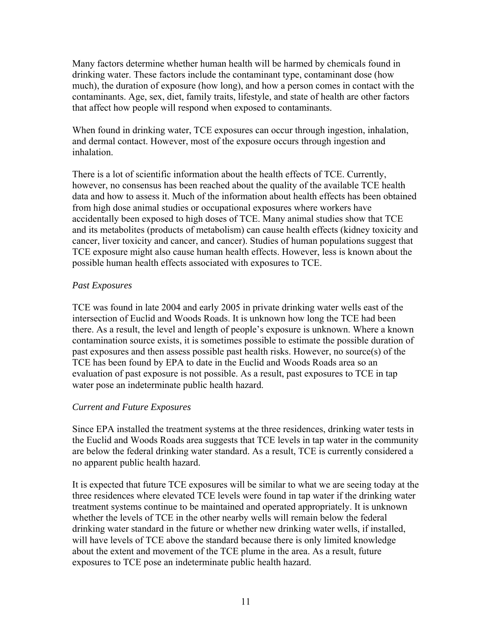Many factors determine whether human health will be harmed by chemicals found in drinking water. These factors include the contaminant type, contaminant dose (how much), the duration of exposure (how long), and how a person comes in contact with the contaminants. Age, sex, diet, family traits, lifestyle, and state of health are other factors that affect how people will respond when exposed to contaminants.

When found in drinking water, TCE exposures can occur through ingestion, inhalation, and dermal contact. However, most of the exposure occurs through ingestion and inhalation.

There is a lot of scientific information about the health effects of TCE. Currently, however, no consensus has been reached about the quality of the available TCE health data and how to assess it. Much of the information about health effects has been obtained from high dose animal studies or occupational exposures where workers have accidentally been exposed to high doses of TCE. Many animal studies show that TCE and its metabolites (products of metabolism) can cause health effects (kidney toxicity and cancer, liver toxicity and cancer, and cancer). Studies of human populations suggest that TCE exposure might also cause human health effects. However, less is known about the possible human health effects associated with exposures to TCE.

#### *Past Exposures*

TCE was found in late 2004 and early 2005 in private drinking water wells east of the intersection of Euclid and Woods Roads. It is unknown how long the TCE had been there. As a result, the level and length of people's exposure is unknown. Where a known contamination source exists, it is sometimes possible to estimate the possible duration of past exposures and then assess possible past health risks. However, no source(s) of the TCE has been found by EPA to date in the Euclid and Woods Roads area so an evaluation of past exposure is not possible. As a result, past exposures to TCE in tap water pose an indeterminate public health hazard.

#### *Current and Future Exposures*

Since EPA installed the treatment systems at the three residences, drinking water tests in the Euclid and Woods Roads area suggests that TCE levels in tap water in the community are below the federal drinking water standard. As a result, TCE is currently considered a no apparent public health hazard.

It is expected that future TCE exposures will be similar to what we are seeing today at the three residences where elevated TCE levels were found in tap water if the drinking water treatment systems continue to be maintained and operated appropriately. It is unknown whether the levels of TCE in the other nearby wells will remain below the federal drinking water standard in the future or whether new drinking water wells, if installed, will have levels of TCE above the standard because there is only limited knowledge about the extent and movement of the TCE plume in the area. As a result, future exposures to TCE pose an indeterminate public health hazard.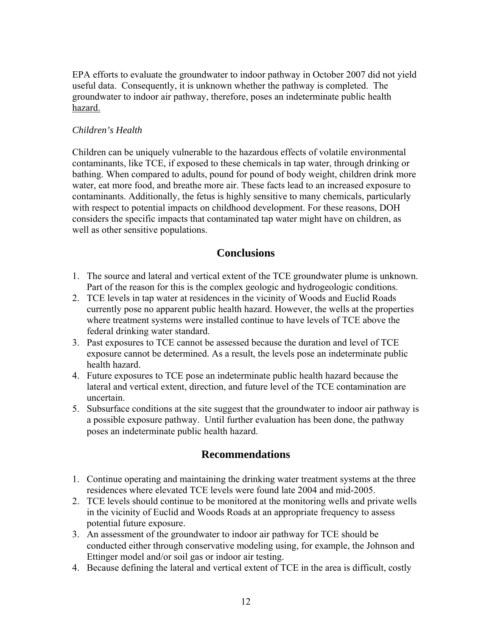EPA efforts to evaluate the groundwater to indoor pathway in October 2007 did not yield useful data. Consequently, it is unknown whether the pathway is completed. The groundwater to indoor air pathway, therefore, poses an indeterminate public health hazard.

#### *Children's Health*

Children can be uniquely vulnerable to the hazardous effects of volatile environmental contaminants, like TCE, if exposed to these chemicals in tap water, through drinking or bathing. When compared to adults, pound for pound of body weight, children drink more water, eat more food, and breathe more air. These facts lead to an increased exposure to contaminants. Additionally, the fetus is highly sensitive to many chemicals, particularly with respect to potential impacts on childhood development. For these reasons, DOH considers the specific impacts that contaminated tap water might have on children, as well as other sensitive populations.

# **Conclusions**

- 1. The source and lateral and vertical extent of the TCE groundwater plume is unknown. Part of the reason for this is the complex geologic and hydrogeologic conditions.
- 2. TCE levels in tap water at residences in the vicinity of Woods and Euclid Roads currently pose no apparent public health hazard. However, the wells at the properties where treatment systems were installed continue to have levels of TCE above the federal drinking water standard.
- 3. Past exposures to TCE cannot be assessed because the duration and level of TCE exposure cannot be determined. As a result, the levels pose an indeterminate public health hazard.
- 4. Future exposures to TCE pose an indeterminate public health hazard because the lateral and vertical extent, direction, and future level of the TCE contamination are uncertain.
- 5. Subsurface conditions at the site suggest that the groundwater to indoor air pathway is a possible exposure pathway. Until further evaluation has been done, the pathway poses an indeterminate public health hazard.

# **Recommendations**

- 1. Continue operating and maintaining the drinking water treatment systems at the three residences where elevated TCE levels were found late 2004 and mid-2005.
- 2. TCE levels should continue to be monitored at the monitoring wells and private wells in the vicinity of Euclid and Woods Roads at an appropriate frequency to assess potential future exposure.
- 3. An assessment of the groundwater to indoor air pathway for TCE should be conducted either through conservative modeling using, for example, the Johnson and Ettinger model and/or soil gas or indoor air testing.
- 4. Because defining the lateral and vertical extent of TCE in the area is difficult, costly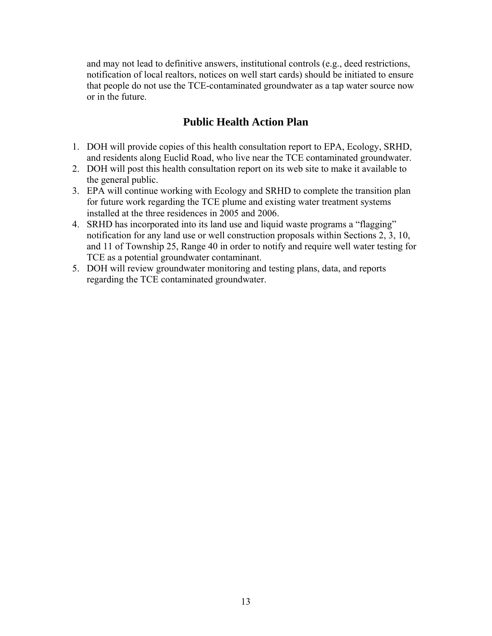and may not lead to definitive answers, institutional controls (e.g., deed restrictions, notification of local realtors, notices on well start cards) should be initiated to ensure that people do not use the TCE-contaminated groundwater as a tap water source now or in the future.

# **Public Health Action Plan**

- 1. DOH will provide copies of this health consultation report to EPA, Ecology, SRHD, and residents along Euclid Road, who live near the TCE contaminated groundwater.
- 2. DOH will post this health consultation report on its web site to make it available to the general public.
- 3. EPA will continue working with Ecology and SRHD to complete the transition plan for future work regarding the TCE plume and existing water treatment systems installed at the three residences in 2005 and 2006.
- 4. SRHD has incorporated into its land use and liquid waste programs a "flagging" notification for any land use or well construction proposals within Sections 2, 3, 10, and 11 of Township 25, Range 40 in order to notify and require well water testing for TCE as a potential groundwater contaminant.
- 5. DOH will review groundwater monitoring and testing plans, data, and reports regarding the TCE contaminated groundwater.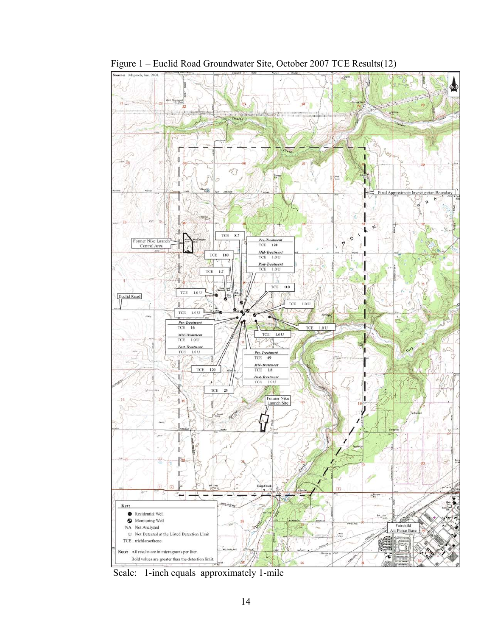

Figure 1 – Euclid Road Groundwater Site, October 2007 TCE Results(12)

Scale: 1-inch equals approximately 1-mile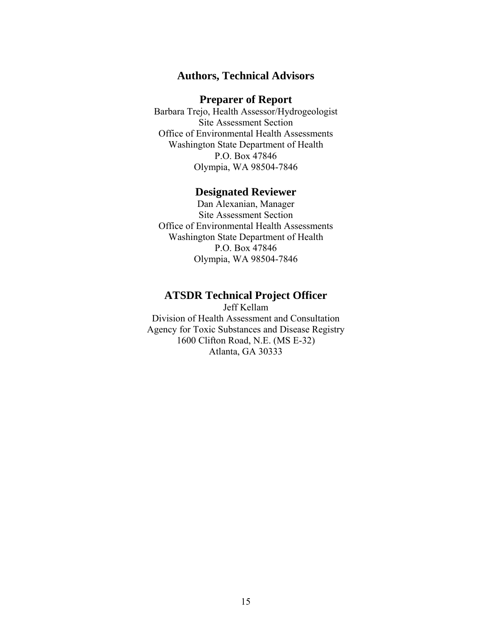## **Authors, Technical Advisors**

#### **Preparer of Report**

Barbara Trejo, Health Assessor/Hydrogeologist Site Assessment Section Office of Environmental Health Assessments Washington State Department of Health P.O. Box 47846 Olympia, WA 98504-7846

#### **Designated Reviewer**

Dan Alexanian, Manager Site Assessment Section Office of Environmental Health Assessments Washington State Department of Health P.O. Box 47846 Olympia, WA 98504-7846

#### **ATSDR Technical Project Officer**

Jeff Kellam Division of Health Assessment and Consultation Agency for Toxic Substances and Disease Registry 1600 Clifton Road, N.E. (MS E-32) Atlanta, GA 30333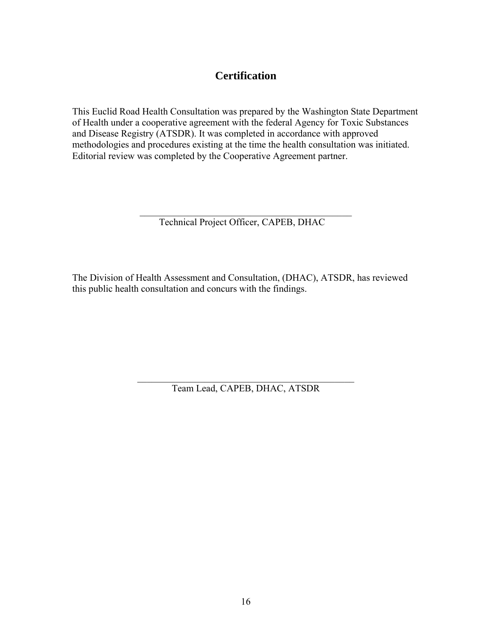# **Certification**

This Euclid Road Health Consultation was prepared by the Washington State Department of Health under a cooperative agreement with the federal Agency for Toxic Substances and Disease Registry (ATSDR). It was completed in accordance with approved methodologies and procedures existing at the time the health consultation was initiated. Editorial review was completed by the Cooperative Agreement partner.

> \_\_\_\_\_\_\_\_\_\_\_\_\_\_\_\_\_\_\_\_\_\_\_\_\_\_\_\_\_\_\_\_\_\_\_\_\_\_\_\_\_\_\_\_ Technical Project Officer, CAPEB, DHAC

The Division of Health Assessment and Consultation, (DHAC), ATSDR, has reviewed this public health consultation and concurs with the findings.

> \_\_\_\_\_\_\_\_\_\_\_\_\_\_\_\_\_\_\_\_\_\_\_\_\_\_\_\_\_\_\_\_\_\_\_\_\_\_\_\_\_\_\_\_\_ Team Lead, CAPEB, DHAC, ATSDR